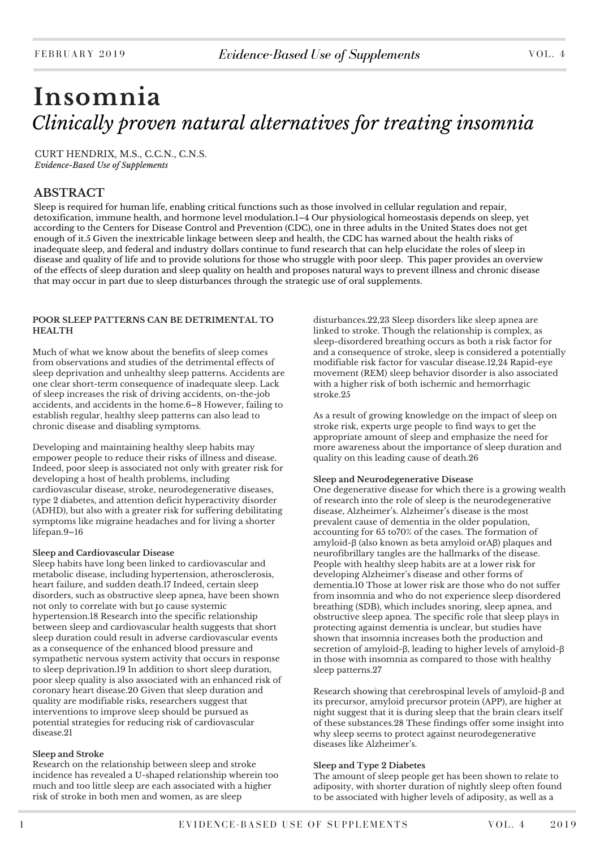# **Insomnia** *Clinically proven natural alternatives for treating insomnia*

CURT HENDRIX, M.S., C.C.N., C.N.S. *Evidence-Based Use of Supplements*

# **ABSTRACT**

Sleep is required for human life, enabling critical functions such as those involved in cellular regulation and repair, detoxification, immune health, and hormone level modulation.1–4 Our physiological homeostasis depends on sleep, yet according to the Centers for Disease Control and Prevention (CDC), one in three adults in the United States does not get enough of it.5 Given the inextricable linkage between sleep and health, the CDC has warned about the health risks of inadequate sleep, and federal and industry dollars continue to fund research that can help elucidate the roles of sleep in disease and quality of life and to provide solutions for those who struggle with poor sleep. This paper provides an overview of the effects of sleep duration and sleep quality on health and proposes natural ways to prevent illness and chronic disease that may occur in part due to sleep disturbances through the strategic use of oral supplements.

## **POOR SLEEP PATTERNS CAN BE DETRIMENTAL TO HEALTH**

Much of what we know about the benefits of sleep comes from observations and studies of the detrimental effects of sleep deprivation and unhealthy sleep patterns. Accidents are one clear short-term consequence of inadequate sleep. Lack of sleep increases the risk of driving accidents, on-the-job accidents, and accidents in the home.6–8 However, failing to establish regular, healthy sleep patterns can also lead to chronic disease and disabling symptoms.

Developing and maintaining healthy sleep habits may empower people to reduce their risks of illness and disease. Indeed, poor sleep is associated not only with greater risk for developing a host of health problems, including cardiovascular disease, stroke, neurodegenerative diseases, type 2 diabetes, and attention deficit hyperactivity disorder (ADHD), but also with a greater risk for suffering debilitating symptoms like migraine headaches and for living a shorter lifepan.9–16

# **Sleep and Cardiovascular Disease**

not only to correlate with but to cause systemic Sleep habits have long been linked to cardiovascular and metabolic disease, including hypertension, atherosclerosis, heart failure, and sudden death.17 Indeed, certain sleep disorders, such as obstructive sleep apnea, have been shown hypertension.18 Research into the specific relationship between sleep and cardiovascular health suggests that short sleep duration could result in adverse cardiovascular events as a consequence of the enhanced blood pressure and sympathetic nervous system activity that occurs in response to sleep deprivation.19 In addition to short sleep duration, poor sleep quality is also associated with an enhanced risk of coronary heart disease.20 Given that sleep duration and quality are modifiable risks, researchers suggest that interventions to improve sleep should be pursued as potential strategies for reducing risk of cardiovascular disease.21

#### **Sleep and Stroke**

Research on the relationship between sleep and stroke incidence has revealed a U-shaped relationship wherein too much and too little sleep are each associated with a higher risk of stroke in both men and women, as are sleep

disturbances.22,23 Sleep disorders like sleep apnea are linked to stroke. Though the relationship is complex, as sleep-disordered breathing occurs as both a risk factor for and a consequence of stroke, sleep is considered a potentially modifiable risk factor for vascular disease.12,24 Rapid-eye movement (REM) sleep behavior disorder is also associated with a higher risk of both ischemic and hemorrhagic stroke 25

As a result of growing knowledge on the impact of sleep on stroke risk, experts urge people to find ways to get the appropriate amount of sleep and emphasize the need for more awareness about the importance of sleep duration and quality on this leading cause of death.26

#### **Sleep and Neurodegenerative Disease**

One degenerative disease for which there is a growing wealth of research into the role of sleep is the neurodegenerative disease, Alzheimer's. Alzheimer's disease is the most prevalent cause of dementia in the older population, accounting for 65 to70% of the cases. The formation of amyloid-β (also known as beta amyloid orAβ) plaques and neurofibrillary tangles are the hallmarks of the disease. People with healthy sleep habits are at a lower risk for developing Alzheimer's disease and other forms of dementia.10 Those at lower risk are those who do not suffer from insomnia and who do not experience sleep disordered breathing (SDB), which includes snoring, sleep apnea, and obstructive sleep apnea. The specific role that sleep plays in protecting against dementia is unclear, but studies have shown that insomnia increases both the production and secretion of amyloid-β, leading to higher levels of amyloid-β in those with insomnia as compared to those with healthy sleep patterns.27

Research showing that cerebrospinal levels of amyloid-β and its precursor, amyloid precursor protein (APP), are higher at night suggest that it is during sleep that the brain clears itself of these substances.28 These findings offer some insight into why sleep seems to protect against neurodegenerative diseases like Alzheimer's.

#### **Sleep and Type 2 Diabetes**

The amount of sleep people get has been shown to relate to adiposity, with shorter duration of nightly sleep often found to be associated with higher levels of adiposity, as well as a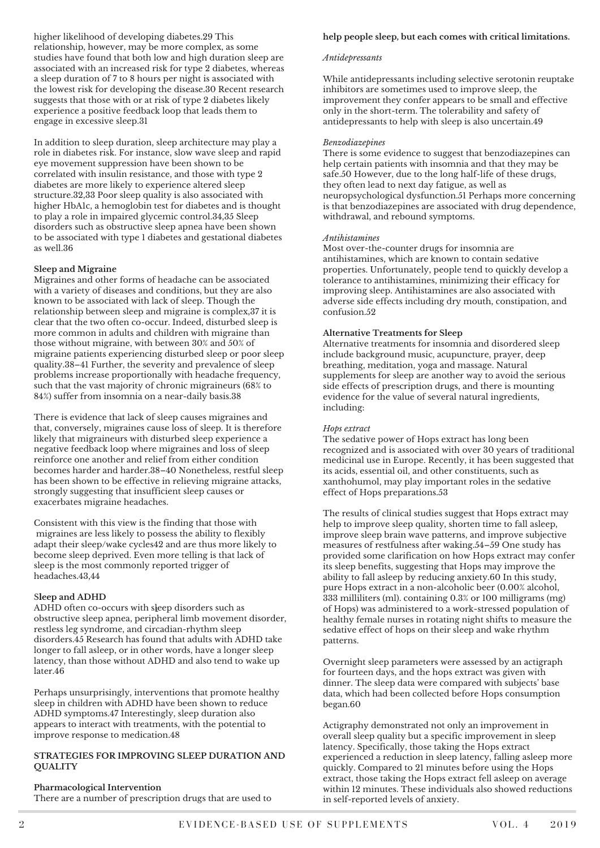higher likelihood of developing diabetes.29 This relationship, however, may be more complex, as some studies have found that both low and high duration sleep are associated with an increased risk for type 2 diabetes, whereas a sleep duration of 7 to 8 hours per night is associated with the lowest risk for developing the disease.30 Recent research suggests that those with or at risk of type 2 diabetes likely experience a positive feedback loop that leads them to engage in excessive sleep.31

In addition to sleep duration, sleep architecture may play a role in diabetes risk. For instance, slow wave sleep and rapid eye movement suppression have been shown to be correlated with insulin resistance, and those with type 2 diabetes are more likely to experience altered sleep structure.32,33 Poor sleep quality is also associated with higher HbA1c, a hemoglobin test for diabetes and is thought to play a role in impaired glycemic control.34,35 Sleep disorders such as obstructive sleep apnea have been shown to be associated with type 1 diabetes and gestational diabetes as well.36

# **Sleep and Migraine**

Migraines and other forms of headache can be associated with a variety of diseases and conditions, but they are also known to be associated with lack of sleep. Though the relationship between sleep and migraine is complex,37 it is clear that the two often co-occur. Indeed, disturbed sleep is more common in adults and children with migraine than those without migraine, with between 30% and 50% of migraine patients experiencing disturbed sleep or poor sleep quality.38–41 Further, the severity and prevalence of sleep problems increase proportionally with headache frequency, such that the vast majority of chronic migraineurs (68% to 84%) suffer from insomnia on a near-daily basis.38

There is evidence that lack of sleep causes migraines and that, conversely, migraines cause loss of sleep. It is therefore likely that migraineurs with disturbed sleep experience a negative feedback loop where migraines and loss of sleep reinforce one another and relief from either condition becomes harder and harder.38–40 Nonetheless, restful sleep has been shown to be effective in relieving migraine attacks, strongly suggesting that insufficient sleep causes or exacerbates migraine headaches.

Consistent with this view is the finding that those with migraines are less likely to possess the ability to flexibly adapt their sleep/wake cycles42 and are thus more likely to become sleep deprived. Even more telling is that lack of sleep is the most commonly reported trigger of headaches.43,44

# S**leep and ADHD**

1 ADHD often co-occurs with sleep disorders such as obstructive sleep apnea, peripheral limb movement disorder, restless leg syndrome, and circadian-rhythm sleep disorders.45 Research has found that adults with ADHD take longer to fall asleep, or in other words, have a longer sleep latency, than those without ADHD and also tend to wake up later.46

Perhaps unsurprisingly, interventions that promote healthy sleep in children with ADHD have been shown to reduce ADHD symptoms.47 Interestingly, sleep duration also appears to interact with treatments, with the potential to improve response to medication.48

# **STRATEGIES FOR IMPROVING SLEEP DURATION AND QUALITY**

#### **Pharmacological Intervention**

There are a number of prescription drugs that are used to

# **help people sleep, but each comes with critical limitations.**

#### *Antidepressants*

While antidepressants including selective serotonin reuptake inhibitors are sometimes used to improve sleep, the improvement they confer appears to be small and effective only in the short-term. The tolerability and safety of antidepressants to help with sleep is also uncertain.49

#### *Benzodiazepines*

There is some evidence to suggest that benzodiazepines can help certain patients with insomnia and that they may be safe.50 However, due to the long half-life of these drugs, they often lead to next day fatigue, as well as neuropsychological dysfunction.51 Perhaps more concerning is that benzodiazepines are associated with drug dependence, withdrawal, and rebound symptoms.

#### *Antihistamines*

Most over-the-counter drugs for insomnia are antihistamines, which are known to contain sedative properties. Unfortunately, people tend to quickly develop a tolerance to antihistamines, minimizing their efficacy for improving sleep. Antihistamines are also associated with adverse side effects including dry mouth, constipation, and confusion.52

#### **Alternative Treatments for Sleep**

Alternative treatments for insomnia and disordered sleep include background music, acupuncture, prayer, deep breathing, meditation, yoga and massage. Natural supplements for sleep are another way to avoid the serious side effects of prescription drugs, and there is mounting evidence for the value of several natural ingredients, including:

## *Hops extract*

The sedative power of Hops extract has long been recognized and is associated with over 30 years of traditional medicinal use in Europe. Recently, it has been suggested that its acids, essential oil, and other constituents, such as xanthohumol, may play important roles in the sedative effect of Hops preparations.53

The results of clinical studies suggest that Hops extract may help to improve sleep quality, shorten time to fall asleep, improve sleep brain wave patterns, and improve subjective measures of restfulness after waking.54–59 One study has provided some clarification on how Hops extract may confer its sleep benefits, suggesting that Hops may improve the ability to fall asleep by reducing anxiety.60 In this study, pure Hops extract in a non-alcoholic beer (0.00% alcohol, 333 milliliters (ml). containing 0.3% or 100 milligrams (mg) of Hops) was administered to a work-stressed population of healthy female nurses in rotating night shifts to measure the sedative effect of hops on their sleep and wake rhythm patterns.

Overnight sleep parameters were assessed by an actigraph for fourteen days, and the hops extract was given with dinner. The sleep data were compared with subjects' base data, which had been collected before Hops consumption began.60

Actigraphy demonstrated not only an improvement in overall sleep quality but a specific improvement in sleep latency. Specifically, those taking the Hops extract experienced a reduction in sleep latency, falling asleep more quickly. Compared to 21 minutes before using the Hops extract, those taking the Hops extract fell asleep on average within 12 minutes. These individuals also showed reductions in self-reported levels of anxiety.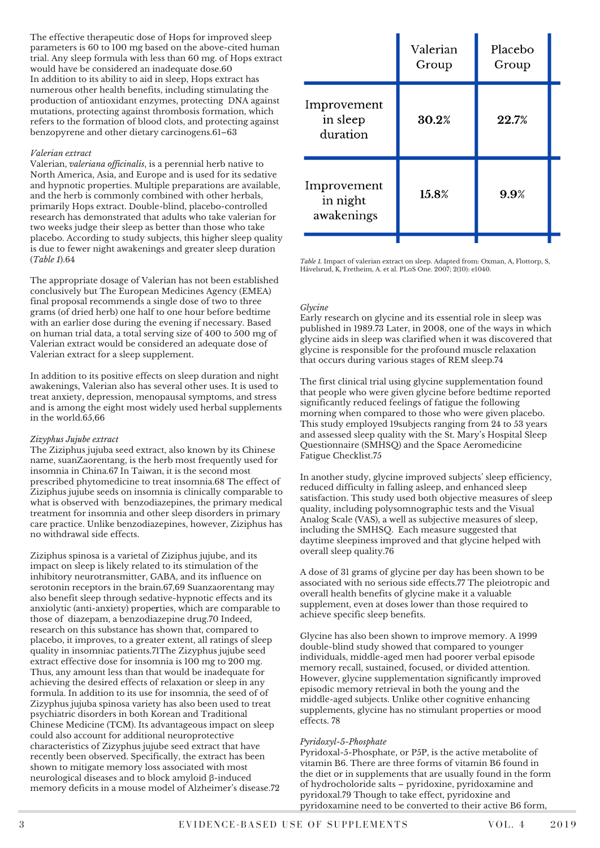The effective therapeutic dose of Hops for improved sleep parameters is 60 to 100 mg based on the above-cited human trial. Any sleep formula with less than 60 mg. of Hops extract would have be considered an inadequate dose.60 In addition to its ability to aid in sleep, Hops extract has numerous other health benefits, including stimulating the production of antioxidant enzymes, protecting DNA against mutations, protecting against thrombosis formation, which refers to the formation of blood clots, and protecting against benzopyrene and other dietary carcinogens.61–63

# *Valerian extract*

Valerian, *valeriana of icinalis*, is a perennial herb native to North America, Asia, and Europe and is used for its sedative and hypnotic properties. Multiple preparations are available, and the herb is commonly combined with other herbals, primarily Hops extract. Double-blind, placebo-controlled research has demonstrated that adults who take valerian for two weeks judge their sleep as better than those who take placebo. According to study subjects, this higher sleep quality is due to fewer night awakenings and greater sleep duration (*Table 1*).64

The appropriate dosage of Valerian has not been established conclusively but The European Medicines Agency (EMEA) final proposal recommends a single dose of two to three grams (of dried herb) one half to one hour before bedtime with an earlier dose during the evening if necessary. Based on human trial data, a total serving size of 400 to 500 mg of Valerian extract would be considered an adequate dose of Valerian extract for a sleep supplement.

In addition to its positive effects on sleep duration and night awakenings, Valerian also has several other uses. It is used to treat anxiety, depression, menopausal symptoms, and stress and is among the eight most widely used herbal supplements in the world.65,66

#### *Zizyphus Jujube extract*

The Ziziphus jujuba seed extract, also known by its Chinese name, suanZaorentang, is the herb most frequently used for insomnia in China.67 In Taiwan, it is the second most prescribed phytomedicine to treat insomnia.68 The effect of Ziziphus jujube seeds on insomnia is clinically comparable to what is observed with benzodiazepines, the primary medical treatment for insomnia and other sleep disorders in primary care practice. Unlike benzodiazepines, however, Ziziphus has no withdrawal side effects.

anxiolytic (anti-anxiety) properties, which are comparable to Ziziphus spinosa is a varietal of Ziziphus jujube, and its impact on sleep is likely related to its stimulation of the inhibitory neurotransmitter, GABA, and its influence on serotonin receptors in the brain.67,69 Suanzaorentang may also benefit sleep through sedative-hypnotic effects and its those of diazepam, a benzodiazepine drug.70 Indeed, research on this substance has shown that, compared to placebo, it improves, to a greater extent, all ratings of sleep quality in insomniac patients.71The Zizyphus jujube seed extract effective dose for insomnia is 100 mg to 200 mg. Thus, any amount less than that would be inadequate for achieving the desired effects of relaxation or sleep in any formula. In addition to its use for insomnia, the seed of of Zizyphus jujuba spinosa variety has also been used to treat psychiatric disorders in both Korean and Traditional Chinese Medicine (TCM). Its advantageous impact on sleep could also account for additional neuroprotective characteristics of Zizyphus jujube seed extract that have recently been observed. Specifically, the extract has been shown to mitigate memory loss associated with most neurological diseases and to block amyloid β-induced memory deficits in a mouse model of Alzheimer's disease.72

|                                       | Valerian<br>Group | Placebo<br>Group |  |
|---------------------------------------|-------------------|------------------|--|
| Improvement<br>in sleep<br>duration   | 30.2%             | 22.7%            |  |
| Improvement<br>in night<br>awakenings | 15.8%             | 9.9%             |  |
|                                       |                   |                  |  |

*Table 1.* Impact of valerian extract on sleep. Adapted from: Oxman, A, Flottorp, S, Håvelsrud, K, Fretheim, A. et al. PLoS One. 2007; 2(10): e1040.

# *Glycine*

Early research on glycine and its essential role in sleep was published in 1989.73 Later, in 2008, one of the ways in which glycine aids in sleep was clarified when it was discovered that glycine is responsible for the profound muscle relaxation that occurs during various stages of REM sleep.74

The first clinical trial using glycine supplementation found that people who were given glycine before bedtime reported significantly reduced feelings of fatigue the following morning when compared to those who were given placebo. This study employed 19subjects ranging from 24 to 53 years and assessed sleep quality with the St. Mary's Hospital Sleep Questionnaire (SMHSQ) and the Space Aeromedicine Fatigue Checklist.75

In another study, glycine improved subjects' sleep efficiency, reduced difficulty in falling asleep, and enhanced sleep satisfaction. This study used both objective measures of sleep quality, including polysomnographic tests and the Visual Analog Scale (VAS), a well as subjective measures of sleep, including the SMHSQ. Each measure suggested that daytime sleepiness improved and that glycine helped with overall sleep quality.76

A dose of 31 grams of glycine per day has been shown to be associated with no serious side effects.77 The pleiotropic and overall health benefits of glycine make it a valuable supplement, even at doses lower than those required to achieve specific sleep benefits.

Glycine has also been shown to improve memory. A 1999 double-blind study showed that compared to younger individuals, middle-aged men had poorer verbal episode memory recall, sustained, focused, or divided attention. However, glycine supplementation significantly improved episodic memory retrieval in both the young and the middle-aged subjects. Unlike other cognitive enhancing supplements, glycine has no stimulant properties or mood effects. 78

#### *Pyridoxyl-5-Phosphate*

Pyridoxal-5-Phosphate, or P5P, is the active metabolite of vitamin B6. There are three forms of vitamin B6 found in the diet or in supplements that are usually found in the form of hydrocholoride salts – pyridoxine, pyridoxamine and pyridoxal.79 Though to take effect, pyridoxine and pyridoxamine need to be converted to their active B6 form,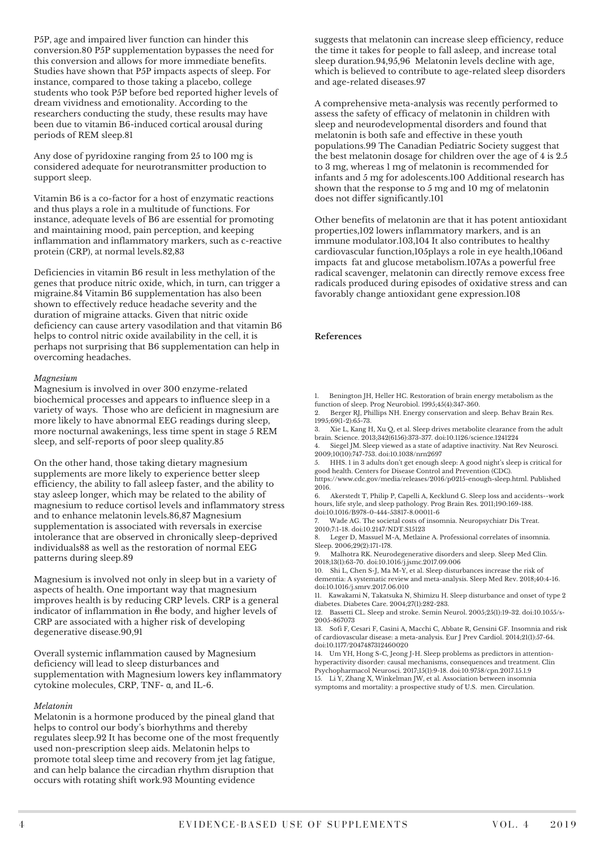P5P, age and impaired liver function can hinder this conversion.80 P5P supplementation bypasses the need for this conversion and allows for more immediate benefits. Studies have shown that P5P impacts aspects of sleep. For instance, compared to those taking a placebo, college students who took P5P before bed reported higher levels of dream vividness and emotionality. According to the researchers conducting the study, these results may have been due to vitamin B6-induced cortical arousal during periods of REM sleep.81

Any dose of pyridoxine ranging from 25 to 100 mg is considered adequate for neurotransmitter production to support sleep.

Vitamin B6 is a co-factor for a host of enzymatic reactions and thus plays a role in a multitude of functions. For instance, adequate levels of B6 are essential for promoting and maintaining mood, pain perception, and keeping inflammation and inflammatory markers, such as c-reactive protein (CRP), at normal levels.82,83

Deficiencies in vitamin B6 result in less methylation of the genes that produce nitric oxide, which, in turn, can trigger a migraine.84 Vitamin B6 supplementation has also been shown to effectively reduce headache severity and the duration of migraine attacks. Given that nitric oxide deficiency can cause artery vasodilation and that vitamin B6 helps to control nitric oxide availability in the cell, it is perhaps not surprising that B6 supplementation can help in overcoming headaches.

#### *Magnesium*

Magnesium is involved in over 300 enzyme-related biochemical processes and appears to influence sleep in a variety of ways. Those who are deficient in magnesium are more likely to have abnormal EEG readings during sleep, more nocturnal awakenings, less time spent in stage 5 REM sleep, and self-reports of poor sleep quality.85

On the other hand, those taking dietary magnesium supplements are more likely to experience better sleep efficiency, the ability to fall asleep faster, and the ability to stay asleep longer, which may be related to the ability of magnesium to reduce cortisol levels and inflammatory stress and to enhance melatonin levels.86,87 Magnesium supplementation is associated with reversals in exercise intolerance that are observed in chronically sleep-deprived individuals88 as well as the restoration of normal EEG patterns during sleep.89

indicator of inflammation in the body, and higher levels of Magnesium is involved not only in sleep but in a variety of aspects of health. One important way that magnesium improves health is by reducing CRP levels. CRP is a general CRP are associated with a higher risk of developing degenerative disease.90,91

Overall systemic inflammation caused by Magnesium deficiency will lead to sleep disturbances and supplementation with Magnesium lowers key inflammatory cytokine molecules, CRP, TNF- α, and IL-6.

#### *Melatonin*

Melatonin is a hormone produced by the pineal gland that helps to control our body's biorhythms and thereby regulates sleep.92 It has become one of the most frequently used non-prescription sleep aids. Melatonin helps to promote total sleep time and recovery from jet lag fatigue, and can help balance the circadian rhythm disruption that occurs with rotating shift work.93 Mounting evidence

suggests that melatonin can increase sleep efficiency, reduce the time it takes for people to fall asleep, and increase total sleep duration.94,95,96 Melatonin levels decline with age, which is believed to contribute to age-related sleep disorders and age-related diseases.97

A comprehensive meta-analysis was recently performed to assess the safety of efficacy of melatonin in children with sleep and neurodevelopmental disorders and found that melatonin is both safe and effective in these youth populations.99 The Canadian Pediatric Society suggest that the best melatonin dosage for children over the age of 4 is 2.5 to 3 mg, whereas 1 mg of melatonin is recommended for infants and 5 mg for adolescents.100 Additional research has shown that the response to 5 mg and 10 mg of melatonin does not differ significantly.101

Other benefits of melatonin are that it has potent antioxidant properties,102 lowers inflammatory markers, and is an immune modulator.103,104 It also contributes to healthy cardiovascular function,105plays a role in eye health,106and impacts fat and glucose metabolism.107As a powerful free radical scavenger, melatonin can directly remove excess free radicals produced during episodes of oxidative stress and can favorably change antioxidant gene expression.108

#### **References**

1. Benington JH, Heller HC. Restoration of brain energy metabolism as the function of sleep. Prog Neurobiol. 1995;45(4):347-360.

2. Berger RJ, Phillips NH. Energy conservation and sleep. Behav Brain Res. 1995;69(1-2):65-73.

3. Xie L, Kang H, Xu Q, et al. Sleep drives metabolite clearance from the adult brain. Science. 2013;342(6156):373-377. doi:10.1126/science.1241224

Siegel JM. Sleep viewed as a state of adaptive inactivity. Nat Rev Neurosci. 2009;10(10):747-753. doi:10.1038/nrn2697

5. HHS. 1 in 3 adults don't get enough sleep: A good night's sleep is critical for good health. Centers for Disease Control and Prevention (CDC).

https://www.cdc.gov/media/releases/2016/p0215-enough-sleep.html. Published 2016.

6. Akerstedt T, Philip P, Capelli A, Kecklund G. Sleep loss and accidents--work hours, life style, and sleep pathology. Prog Brain Res. 2011;190:169-188.

doi:10.1016/B978-0-444-53817-8.00011-6 Wade AG. The societal costs of insomnia. Neuropsychiatr Dis Treat.

2010;7:1-18. doi:10.2147/NDT.S15123 8. Leger D, Massuel M-A, Metlaine A. Professional correlates of insomnia. Sleep. 2006;29(2):171-178.

9. Malhotra RK. Neurodegenerative disorders and sleep. Sleep Med Clin. 2018;13(1):63-70. doi:10.1016/j.jsmc.2017.09.006

10. Shi L, Chen S-J, Ma M-Y, et al. Sleep disturbances increase the risk of dementia: A systematic review and meta-analysis. Sleep Med Rev. 2018;40:4-16. doi:10.1016/j.smrv.2017.06.010

11. Kawakami N, Takatsuka N, Shimizu H. Sleep disturbance and onset of type 2 diabetes. Diabetes Care. 2004;27(1):282-283.

12. Bassetti CL. Sleep and stroke. Semin Neurol. 2005;25(1):19-32. doi:10.1055/s-2005-867073

13. Sofi F, Cesari F, Casini A, Macchi C, Abbate R, Gensini GF. Insomnia and risk of cardiovascular disease: a meta-analysis. Eur J Prev Cardiol. 2014;21(1):57-64. doi:10.1177/2047487312460020

14. Um YH, Hong S-C, Jeong J-H. Sleep problems as predictors in attentionhyperactivity disorder: causal mechanisms, consequences and treatment. Clin Psychopharmacol Neurosci. 2017;15(1):9-18. doi:10.9758/cpn.2017.15.1.9 15. Li Y, Zhang X, Winkelman JW, et al. Association between insomnia symptoms and mortality: a prospective study of U.S. men. Circulation.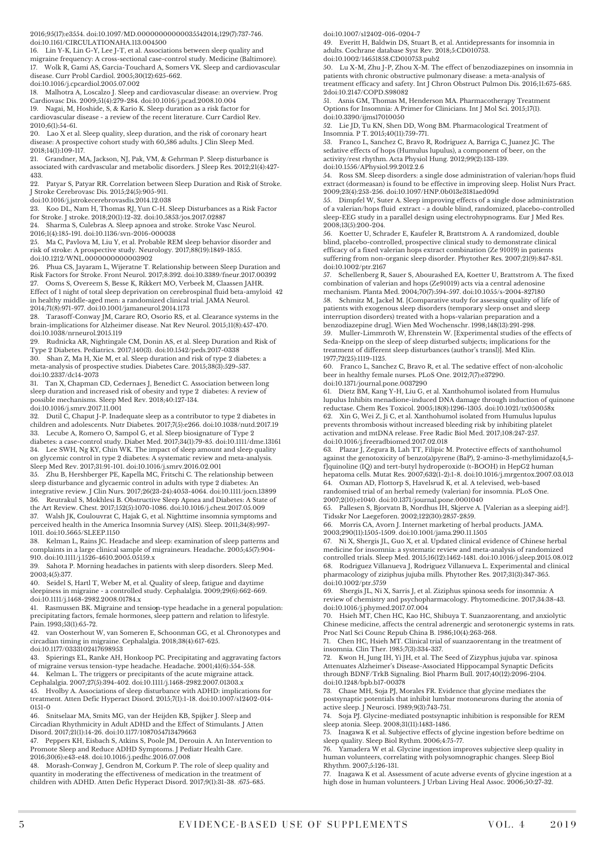2016;95(17):e3554. doi:10.1097/MD.00000000000035542014;129(7):737-746. doi:10.1161/CIRCULATIONAHA.113.004500

16. Lin Y-K, Lin G-Y, Lee J-T, et al. Associations between sleep quality and migraine frequency: A cross-sectional case-control study. Medicine (Baltimore). 17. Wolk R, Gami AS, Garcia-Touchard A, Somers VK. Sleep and cardiovascular disease. Curr Probl Cardiol. 2005;30(12):625-662.

doi:10.1016/j.cpcardiol.2005.07.002

18. Malhotra A, Loscalzo J. Sleep and cardiovascular disease: an overview. Prog Cardiovasc Dis. 2009;51(4):279-284. doi:10.1016/j.pcad.2008.10.004 19. Nagai, M, Hoshide, S, & Kario K. Sleep duration as a risk factor for

cardiovascular disease - a review of the recent literature. Curr Cardiol Rev. 2010;6(1):54-61.

20. Lao X et al. Sleep quality, sleep duration, and the risk of coronary heart disease: A prospective cohort study with 60,586 adults. J Clin Sleep Med. 2018;14(1):109-117.

21. Grandner, MA, Jackson, NJ, Pak, VM, & Gehrman P. Sleep disturbance is associated with cardvascular and metabolic disorders. J Sleep Res. 2012;21(4):427- 433.

22. Patyar S, Patyar RR. Correlation between Sleep Duration and Risk of Stroke. J Stroke Cerebrovasc Dis. 2015;24(5):905-911.

doi:10.1016/j.jstrokecerebrovasdis.2014.12.038

23. Koo DL, Nam H, Thomas RJ, Yun C-H. Sleep Disturbances as a Risk Factor for Stroke. J stroke. 2018;20(1):12-32. doi:10.5853/jos.2017.02887

24. Sharma S, Culebras A. Sleep apnoea and stroke. Stroke Vasc Neurol. 2016;1(4):185-191. doi:10.1136/svn-2016-000038

25. Ma C, Pavlova M, Liu Y, et al. Probable REM sleep behavior disorder and risk of stroke: A prospective study. Neurology. 2017;88(19):1849-1855.

doi:10.1212/WNL.0000000000003902

26. Phua CS, Jayaram L, Wijeratne T. Relationship between Sleep Duration and Risk Factors for Stroke. Front Neurol. 2017;8:392. doi:10.3389/fneur.2017.00392 27. Ooms S, Overeem S, Besse K, Rikkert MO, Verbeek M, Claassen JAHR. Effect of 1 night of total sleep deprivation on cerebrospinal fluid beta-amyloid 42 in healthy middle-aged men: a randomized clinical trial. JAMA Neurol. 2014;71(8):971-977. doi:10.1001/jamaneurol.2014.1173

28. Tarasoff-Conway JM, Carare RO, Osorio RS, et al. Clearance systems in the brain-implications for Alzheimer disease. Nat Rev Neurol. 2015;11(8):457-470. doi:10.1038/nrneurol.2015.119

29. Rudnicka AR, Nightingale CM, Donin AS, et al. Sleep Duration and Risk of Type 2 Diabetes. Pediatrics. 2017;140(3). doi:10.1542/peds.2017-0338 30. Shan Z, Ma H, Xie M, et al. Sleep duration and risk of type 2 diabetes: a meta-analysis of prospective studies. Diabetes Care. 2015;38(3):529-537. doi:10.2337/dc14-2073

31. Tan X, Chapman CD, Cedernaes J, Benedict C. Association between long sleep duration and increased risk of obesity and type 2 diabetes: A review of possible mechanisms. Sleep Med Rev. 2018;40:127-134.

doi:10.1016/j.smrv.2017.11.001

32. Dutil C, Chaput J-P. Inadequate sleep as a contributor to type 2 diabetes in children and adolescents. Nutr Diabetes. 2017;7(5):e266. doi:10.1038/nutd.2017.19 33. Lecube A, Romero O, Sampol G, et al. Sleep biosignature of Type 2 diabetes: a case-control study. Diabet Med. 2017;34(1):79-85. doi:10.1111/dme.13161 34. Lee SWH, Ng KY, Chin WK. The impact of sleep amount and sleep quality on glycemic control in type 2 diabetes: A systematic review and meta-analysis. Sleep Med Rev. 2017;31:91-101. doi:10.1016/j.smrv.2016.02.001

35. Zhu B, Hershberger PE, Kapella MC, Fritschi C. The relationship between sleep disturbance and glycaemic control in adults with type 2 diabetes: An integrative review. J Clin Nurs. 2017;26(23-24):4053-4064. doi:10.1111/jocn.13899 36. Reutrakul S, Mokhlesi B. Obstructive Sleep Apnea and Diabetes: A State of the Art Review. Chest. 2017;152(5):1070-1086. doi:10.1016/j.chest.2017.05.009 37. Walsh JK, Coulouvrat C, Hajak G, et al. Nighttime insomnia symptoms and

perceived health in the America Insomnia Survey (AIS). Sleep. 2011;34(8):997- 1011. doi:10.5665/SLEEP.1150

38. Kelman L, Rains JC. Headache and sleep: examination of sleep patterns and complaints in a large clinical sample of migraineurs. Headache. 2005;45(7):904- 910. doi:10.1111/j.1526-4610.2005.05159.x

39. Sahota P. Morning headaches in patients with sleep disorders. Sleep Med. 2003;4(5):377.

40. Seidel S, Hartl T, Weber M, et al. Quality of sleep, fatigue and daytime sleepiness in migraine - a controlled study. Cephalalgia. 2009;29(6):662-669. doi:10.1111/j.1468-2982.2008.01784.x

1 41. Rasmussen BK. Migraine and tension-type headache in a general population: precipitating factors, female hormones, sleep pattern and relation to lifestyle. Pain. 1993;53(1):65-72.

42. van Oosterhout W, van Someren E, Schoonman GG, et al. Chronotypes and circadian timing in migraine. Cephalalgia. 2018;38(4):617-625. doi:10.1177/0333102417698953

43. Spierings EL, Ranke AH, Honkoop PC. Precipitating and aggravating factors of migraine versus tension-type headache. Headache. 2001;41(6):554-558.

44. Kelman L. The triggers or precipitants of the acute migraine attack. Cephalalgia. 2007;27(5):394-402. doi:10.1111/j.1468-2982.2007.01303.x 45. Hvolby A. Associations of sleep disturbance with ADHD: implications for

treatment. Atten Defic Hyperact Disord. 2015;7(1):1-18. doi:10.1007/s12402-014- 0151-0 46. Snitselaar MA, Smits MG, van der Heijden KB, Spijker J. Sleep and

Circadian Rhythmicity in Adult ADHD and the Effect of Stimulants. J Atten Disord. 2017;21(1):14-26. doi:10.1177/1087054713479663

47. Peppers KH, Eisbach S, Atkins S, Poole JM, Derouin A. An Intervention to Promote Sleep and Reduce ADHD Symptoms. J Pediatr Health Care. 2016;30(6):e43-e48. doi:10.1016/j.pedhc.2016.07.008

48. Morash-Conway J, Gendron M, Corkum P. The role of sleep quality and quantity in moderating the effectiveness of medication in the treatment of children with ADHD. Atten Defic Hyperact Disord. 2017;9(1):31-38. :675-685.

doi:10.1007/s12402-016-0204-7

49. Everitt H, Baldwin DS, Stuart B, et al. Antidepressants for insomnia in adults. Cochrane database Syst Rev. 2018;5:CD010753. doi:10.1002/14651858.CD010753.pub2

50. Lu X-M, Zhu J-P, Zhou X-M. The effect of benzodiazepines on insomnia in patients with chronic obstructive pulmonary disease: a meta-analysis of treatment efficacy and safety. Int J Chron Obstruct Pulmon Dis. 2016;11:675-685. 2doi:10.2147/COPD.S98082

51. Asnis GM, Thomas M, Henderson MA. Pharmacotherapy Treatment Options for Insomnia: A Primer for Clinicians. Int J Mol Sci. 2015;17(1). doi:10.3390/ijms17010050

52. Lie JD, Tu KN, Shen DD, Wong BM. Pharmacological Treatment of Insomnia. P T. 2015;40(11):759-771.

53. Franco L, Sanchez C, Bravo R, Rodriguez A, Barriga C, Juanez JC. The sedative effects of hops (Humulus lupulus), a component of beer, on the activity/rest rhythm. Acta Physiol Hung. 2012;99(2):133-139. doi:10.1556/APhysiol.99.2012.2.6

54. Ross SM. Sleep disorders: a single dose administration of valerian/hops fluid extract (dormeasan) is found to be effective in improving sleep. Holist Nurs Pract. 2009;23(4):253-256. doi:10.1097/HNP.0b013e3181aed09d

55. Dimpfel W, Suter A. Sleep improving effects of a single dose administration of a valerian/hops fluid extract - a double blind, randomized, placebo-controlled sleep-EEG study in a parallel design using electrohypnograms. Eur J Med Res. 2008;13(5):200-204.

56. Koetter U, Schrader E, Kaufeler R, Brattstrom A. A randomized, double blind, placebo-controlled, prospective clinical study to demonstrate clinical efficacy of a fixed valerian hops extract combination (Ze 91019) in patients suffering from non-organic sleep disorder. Phytother Res. 2007;21(9):847-851. doi:10.1002/ptr.2167

57. Schellenberg R, Sauer S, Abourashed EA, Koetter U, Brattstrom A. The fixed combination of valerian and hops (Ze91019) acts via a central adenosine mechanism. Planta Med. 2004;70(7):594-597. doi:10.1055/s-2004-827180 58. Schmitz M, Jackel M. [Comparative study for assessing quality of life of patients with exogenous sleep disorders (temporary sleep onset and sleep interruption disorders) treated with a hops-valarian preparation and a benzodiazepine drug]. Wien Med Wochenschr. 1998;148(13):291-298. 59. Muller-Limmroth W, Ehrenstein W. [Experimental studies of the effects of Seda-Kneipp on the sleep of sleep disturbed subjects; implications for the treatment of different sleep disturbances (author's transl)]. Med Klin. 1977;72(25):1119-1125.

60. Franco L, Sanchez C, Bravo R, et al. The sedative effect of non-alcoholic beer in healthy female nurses. PLoS One. 2012;7(7):e37290. doi:10.1371/journal.pone.0037290

61. Dietz BM, Kang Y-H, Liu G, et al. Xanthohumol isolated from Humulus lupulus Inhibits menadione-induced DNA damage through induction of quinone reductase. Chem Res Toxicol. 2005;18(8):1296-1305. doi:10.1021/tx050058x 62. Xin G, Wei Z, Ji C, et al. Xanthohumol isolated from Humulus lupulus prevents thrombosis without increased bleeding risk by inhibiting platelet activation and mtDNA release. Free Radic Biol Med. 2017;108:247-257. doi:10.1016/j.freeradbiomed.2017.02.018

63. Plazar J, Zegura B, Lah TT, Filipic M. Protective effects of xanthohumol against the genotoxicity of benzo(a)pyrene (BaP), 2-amino-3-methylimidazo[4,5 f]quinoline (IQ) and tert-butyl hydroperoxide (t-BOOH) in HepG2 human hepatoma cells. Mutat Res. 2007;632(1-2):1-8. doi:10.1016/j.mrgentox.2007.03.013 64. Oxman AD, Flottorp S, Havelsrud K, et al. A televised, web-based

randomised trial of an herbal remedy (valerian) for insomnia. PLoS One. 2007;2(10):e1040. doi:10.1371/journal.pone.0001040

65. Pallesen S, Bjorvatn B, Nordhus IH, Skjerve A. [Valerian as a sleeping aid?]. Tidsskr Nor Laegeforen. 2002;122(30):2857-2859.

66. Morris CA, Avorn J. Internet marketing of herbal products. JAMA.

2003;290(11):1505-1509. doi:10.1001/jama.290.11.1505

67. Ni X, Shergis JL, Guo X, et al. Updated clinical evidence of Chinese herbal medicine for insomnia: a systematic review and meta-analysis of randomized controlled trials. Sleep Med. 2015;16(12):1462-1481. doi:10.1016/j.sleep.2015.08.012 68. Rodriguez Villanueva J, Rodriguez Villanueva L. Experimental and clinical pharmacology of ziziphus jujuba mills. Phytother Res. 2017;31(3):347-365. doi:10.1002/ptr.5759

69. Shergis JL, Ni X, Sarris J, et al. Ziziphus spinosa seeds for insomnia: A review of chemistry and psychopharmacology. Phytomedicine. 2017;34:38-43. doi:10.1016/j.phymed.2017.07.004

70. Hsieh MT, Chen HC, Kao HC, Shibuya T. Suanzaorentang, and anxiolytic Chinese medicine, affects the central adrenergic and serotonergic systems in rats. Proc Natl Sci Counc Repub China B. 1986;10(4):263-268.

71. Chen HC, Hsieh MT. Clinical trial of suanzaorentang in the treatment of insomnia. Clin Ther. 1985;7(3):334-337.

72. Kwon H, Jung IH, Yi JH, et al. The Seed of Zizyphus jujuba var. spinosa Attenuates Alzheimer's Disease-Associated Hippocampal Synaptic Deficits through BDNF/TrkB Signaling. Biol Pharm Bull. 2017;40(12):2096-2104. doi:10.1248/bpb.b17-00378

73. Chase MH, Soja PJ, Morales FR. Evidence that glycine mediates the postsynaptic potentials that inhibit lumbar motoneurons during the atonia of active sleep. J Neurosci. 1989;9(3):743-751.

74. Soja PJ. Glycine-mediated postsynaptic inhibition is responsible for REM sleep atonia. Sleep. 2008;31(11):1483-1486.

75. Inagawa K et al. Subjective effects of glycine ingestion before bedtime on sleep quality. Sleep Biol Rythm. 2006;4:75-77.

76. Yamadera W et al. Glycine ingestion improves subjective sleep quality in human volunteers, correlating with polysomnographic changes. Sleep Biol Rhythm. 2007;5:126-131.

77. Inagawa K et al. Assessment of acute adverse events of glycine ingestion at a high dose in human volunteers. J Urban Living Heal Assoc. 2006;50:27-32.